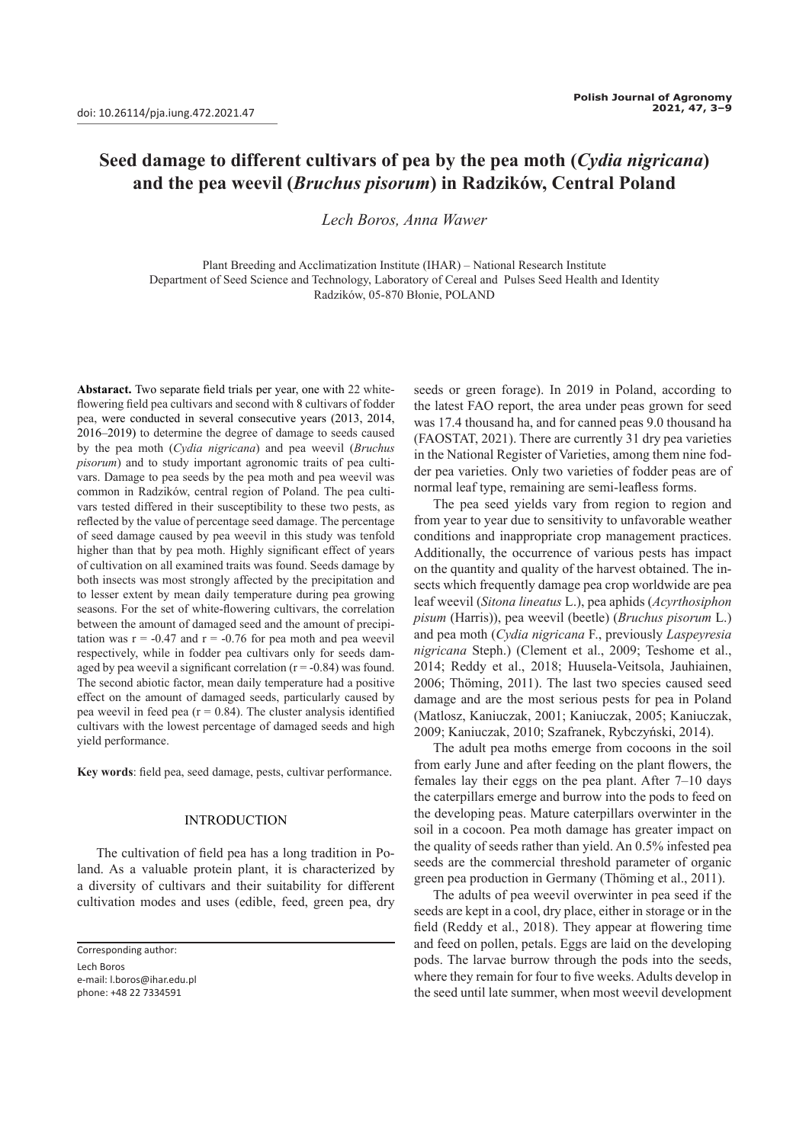# **Seed damage to different cultivars of pea by the pea moth (***Cydia nigricana***) and the pea weevil (***Bruchus pisorum***) in Radzików, Central Poland**

*Lech Boros, Anna Wawer*

Plant Breeding and Acclimatization Institute (IHAR) – National Research Institute Department of Seed Science and Technology, Laboratory of Cereal and Pulses Seed Health and Identity Radzików, 05-870 Błonie, POLAND

**Abstaract.** Two separate field trials per year, one with 22 whiteflowering field pea cultivars and second with 8 cultivars of fodder pea, were conducted in several consecutive years (2013, 2014, 2016–2019) to determine the degree of damage to seeds caused by the pea moth (*Cydia nigricana*) and pea weevil (*Bruchus pisorum*) and to study important agronomic traits of pea cultivars. Damage to pea seeds by the pea moth and pea weevil was common in Radzików, central region of Poland. The pea cultivars tested differed in their susceptibility to these two pests, as reflected by the value of percentage seed damage. The percentage of seed damage caused by pea weevil in this study was tenfold higher than that by pea moth. Highly significant effect of years of cultivation on all examined traits was found. Seeds damage by both insects was most strongly affected by the precipitation and to lesser extent by mean daily temperature during pea growing seasons. For the set of white-flowering cultivars, the correlation between the amount of damaged seed and the amount of precipitation was  $r = -0.47$  and  $r = -0.76$  for pea moth and pea weevil respectively, while in fodder pea cultivars only for seeds damaged by pea weevil a significant correlation  $(r = -0.84)$  was found. The second abiotic factor, mean daily temperature had a positive effect on the amount of damaged seeds, particularly caused by pea weevil in feed pea  $(r = 0.84)$ . The cluster analysis identified cultivars with the lowest percentage of damaged seeds and high yield performance.

**Key words**: field pea, seed damage, pests, cultivar performance.

## INTRODUCTION

The cultivation of field pea has a long tradition in Poland. As a valuable protein plant, it is characterized by a diversity of cultivars and their suitability for different cultivation modes and uses (edible, feed, green pea, dry

Corresponding author:

Lech Boros e-mail: l.boros@ihar.edu.pl phone: +48 22 7334591

seeds or green forage). In 2019 in Poland, according to the latest FAO report, the area under peas grown for seed was 17.4 thousand ha, and for canned peas 9.0 thousand ha (FAOSTAT, 2021). There are currently 31 dry pea varieties in the National Register of Varieties, among them nine fodder pea varieties. Only two varieties of fodder peas are of normal leaf type, remaining are semi-leafless forms.

The pea seed yields vary from region to region and from year to year due to sensitivity to unfavorable weather conditions and inappropriate crop management practices. Additionally, the occurrence of various pests has impact on the quantity and quality of the harvest obtained. The insects which frequently damage pea crop worldwide are pea leaf weevil (*Sitona lineatus* L.), pea aphids (*Acyrthosiphon pisum* (Harris)), pea weevil (beetle) (*Bruchus pisorum* L.) and pea moth (*Cydia nigricana* F., previously *Laspeyresia nigricana* Steph.) (Clement et al., 2009; Teshome et al., 2014; Reddy et al., 2018; Huusela-Veitsola, Jauhiainen, 2006; Thöming, 2011). The last two species caused seed damage and are the most serious pests for pea in Poland (Matlosz, Kaniuczak, 2001; Kaniuczak, 2005; Kaniuczak, 2009; Kaniuczak, 2010; Szafranek, Rybczyński, 2014).

The adult pea moths emerge from cocoons in the soil from early June and after feeding on the plant flowers, the females lay their eggs on the pea plant. After 7–10 days the caterpillars emerge and burrow into the pods to feed on the developing peas. Mature caterpillars overwinter in the soil in a cocoon. Pea moth damage has greater impact on the quality of seeds rather than yield. An 0.5% infested pea seeds are the commercial threshold parameter of organic green pea production in Germany (Thöming et al., 2011).

The adults of pea weevil overwinter in pea seed if the seeds are kept in a cool, dry place, either in storage or in the field (Reddy et al., 2018). They appear at flowering time and feed on pollen, petals. Eggs are laid on the developing pods. The larvae burrow through the pods into the seeds, where they remain for four to five weeks. Adults develop in the seed until late summer, when most weevil development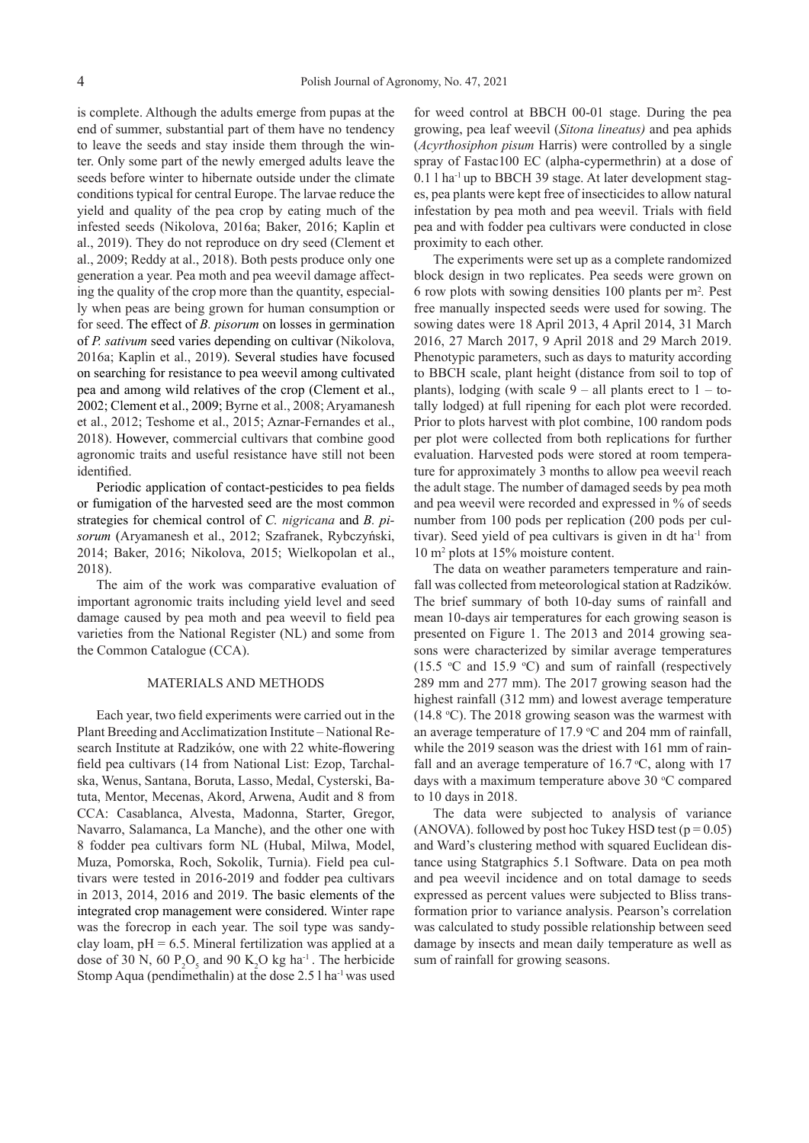is complete. Although the adults emerge from pupas at the end of summer, substantial part of them have no tendency to leave the seeds and stay inside them through the winter. Only some part of the newly emerged adults leave the seeds before winter to hibernate outside under the climate conditions typical for central Europe. The larvae reduce the yield and quality of the pea crop by eating much of the infested seeds (Nikolova, 2016a; Baker, 2016; Kaplin et al., 2019). They do not reproduce on dry seed (Clement et al., 2009; Reddy at al., 2018). Both pests produce only one generation a year. Pea moth and pea weevil damage affecting the quality of the crop more than the quantity, especially when peas are being grown for human consumption or for seed. The effect of *B. pisorum* on losses in germination of *P. sativum* seed varies depending on cultivar (Nikolova, 2016a; Kaplin et al., 2019). Several studies have focused on searching for resistance to pea weevil among cultivated pea and among wild relatives of the crop (Clement et al., 2002; Clement et al., 2009; Byrne et al., 2008; Aryamanesh et al., 2012; Teshome et al., 2015; Aznar-Fernandes et al., 2018). However, commercial cultivars that combine good agronomic traits and useful resistance have still not been identified.

Periodic application of contact-pesticides to pea fields or fumigation of the harvested seed are the most common strategies for chemical control of *C. nigricana* and *B. pisorum* (Aryamanesh et al., 2012; Szafranek, Rybczyński, 2014; Baker, 2016; Nikolova, 2015; Wielkopolan et al., 2018).

The aim of the work was comparative evaluation of important agronomic traits including yield level and seed damage caused by pea moth and pea weevil to field pea varieties from the National Register (NL) and some from the Common Catalogue (CCA).

### MATERIALS AND METHODS

Each year, two field experiments were carried out in the Plant Breeding and Acclimatization Institute – National Research Institute at Radzików, one with 22 white-flowering field pea cultivars (14 from National List: Ezop, Tarchalska, Wenus, Santana, Boruta, Lasso, Medal, Cysterski, Batuta, Mentor, Mecenas, Akord, Arwena, Audit and 8 from CCA: Casablanca, Alvesta, Madonna, Starter, Gregor, Navarro, Salamanca, La Manche), and the other one with 8 fodder pea cultivars form NL (Hubal, Milwa, Model, Muza, Pomorska, Roch, Sokolik, Turnia). Field pea cultivars were tested in 2016-2019 and fodder pea cultivars in 2013, 2014, 2016 and 2019. The basic elements of the integrated crop management were considered. Winter rape was the forecrop in each year. The soil type was sandyclay loam,  $pH = 6.5$ . Mineral fertilization was applied at a dose of 30 N, 60  $P_2O_5$  and 90 K<sub>2</sub>O kg ha<sup>-1</sup>. The herbicide Stomp Aqua (pendimethalin) at the dose 2.5 l ha-1 was used

for weed control at BBCH 00-01 stage. During the pea growing, pea leaf weevil (*Sitona lineatus)* and pea aphids (*Acyrthosiphon pisum* Harris) were controlled by a single spray of Fastac100 EC (alpha-cypermethrin) at a dose of 0.1 l ha-1 up to BBCH 39 stage. At later development stages, pea plants were kept free of insecticides to allow natural infestation by pea moth and pea weevil. Trials with field pea and with fodder pea cultivars were conducted in close proximity to each other.

The experiments were set up as a complete randomized block design in two replicates. Pea seeds were grown on 6 row plots with sowing densities 100 plants per m<sup>2</sup> *.* Pest free manually inspected seeds were used for sowing. The sowing dates were 18 April 2013, 4 April 2014, 31 March 2016, 27 March 2017, 9 April 2018 and 29 March 2019. Phenotypic parameters, such as days to maturity according to BBCH scale, plant height (distance from soil to top of plants), lodging (with scale  $9 -$  all plants erect to  $1 -$  totally lodged) at full ripening for each plot were recorded. Prior to plots harvest with plot combine, 100 random pods per plot were collected from both replications for further evaluation. Harvested pods were stored at room temperature for approximately 3 months to allow pea weevil reach the adult stage. The number of damaged seeds by pea moth and pea weevil were recorded and expressed in % of seeds number from 100 pods per replication (200 pods per cultivar). Seed yield of pea cultivars is given in dt ha $<sup>1</sup>$  from</sup> 10 m<sup>2</sup> plots at 15% moisture content.

The data on weather parameters temperature and rainfall was collected from meteorological station at Radzików. The brief summary of both 10-day sums of rainfall and mean 10-days air temperatures for each growing season is presented on Figure 1. The 2013 and 2014 growing seasons were characterized by similar average temperatures (15.5  $\degree$ C and 15.9  $\degree$ C) and sum of rainfall (respectively 289 mm and 277 mm). The 2017 growing season had the highest rainfall (312 mm) and lowest average temperature  $(14.8 °C)$ . The 2018 growing season was the warmest with an average temperature of 17.9  $\degree$ C and 204 mm of rainfall, while the 2019 season was the driest with 161 mm of rainfall and an average temperature of  $16.7$  °C, along with 17 days with a maximum temperature above  $30 °C$  compared to 10 days in 2018.

The data were subjected to analysis of variance (ANOVA). followed by post hoc Tukey HSD test ( $p = 0.05$ ) and Ward's clustering method with squared Euclidean distance using Statgraphics 5.1 Software. Data on pea moth and pea weevil incidence and on total damage to seeds expressed as percent values were subjected to Bliss transformation prior to variance analysis. Pearson's correlation was calculated to study possible relationship between seed damage by insects and mean daily temperature as well as sum of rainfall for growing seasons.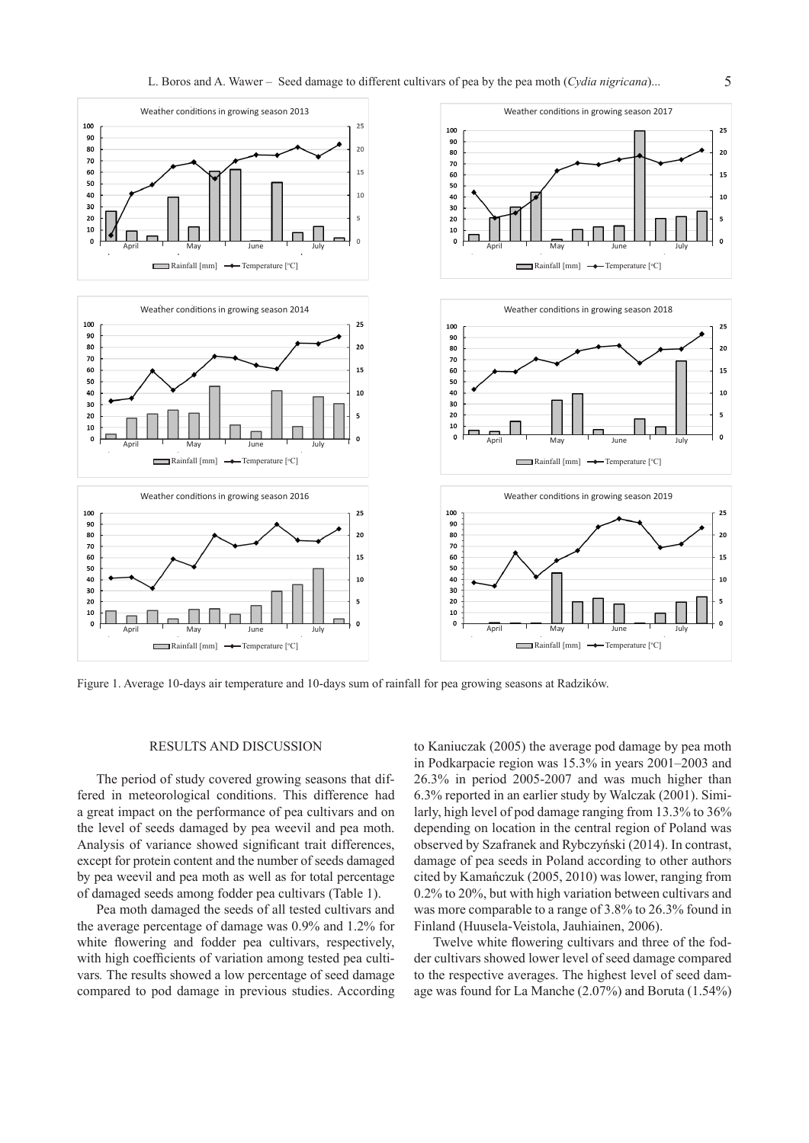

Figure 1. Average 10-days air temperature and 10-days sum of rainfall for pea growing seasons at Radzików.

## RESULTS AND DISCUSSION

The period of study covered growing seasons that differed in meteorological conditions. This difference had a great impact on the performance of pea cultivars and on the level of seeds damaged by pea weevil and pea moth. Analysis of variance showed significant trait differences, except for protein content and the number of seeds damaged by pea weevil and pea moth as well as for total percentage of damaged seeds among fodder pea cultivars (Table 1).

Pea moth damaged the seeds of all tested cultivars and the average percentage of damage was 0.9% and 1.2% for white flowering and fodder pea cultivars, respectively, with high coefficients of variation among tested pea cultivars*.* The results showed a low percentage of seed damage compared to pod damage in previous studies. According

to Kaniuczak (2005) the average pod damage by pea moth in Podkarpacie region was 15.3% in years 2001–2003 and 26.3% in period 2005-2007 and was much higher than 6.3% reported in an earlier study by Walczak (2001). Similarly, high level of pod damage ranging from 13.3% to 36% depending on location in the central region of Poland was observed by Szafranek and Rybczyński (2014). In contrast, damage of pea seeds in Poland according to other authors cited by Kamańczuk (2005, 2010) was lower, ranging from 0.2% to 20%, but with high variation between cultivars and was more comparable to a range of 3.8% to 26.3% found in Finland (Huusela-Veistola, Jauhiainen, 2006).

Twelve white flowering cultivars and three of the fodder cultivars showed lower level of seed damage compared to the respective averages. The highest level of seed damage was found for La Manche (2.07%) and Boruta (1.54%)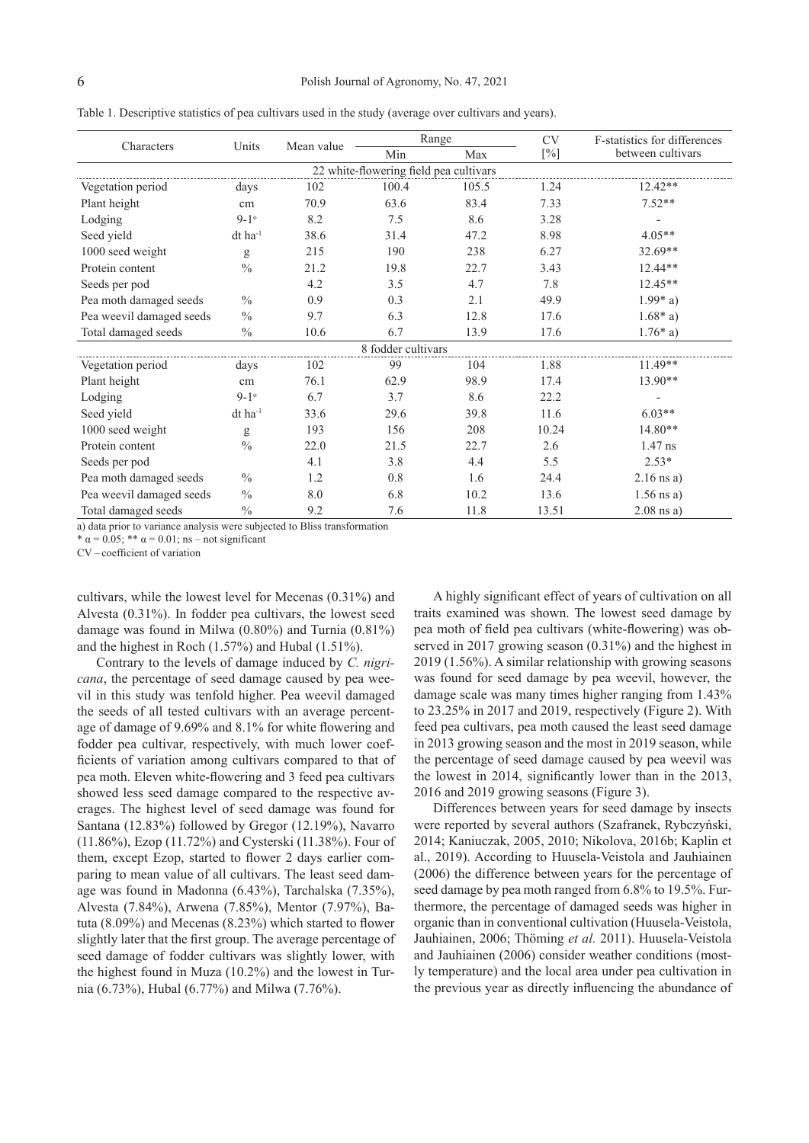| Table 1. Descriptive statistics of pea cultivars used in the study (average over cultivars and years) |  |
|-------------------------------------------------------------------------------------------------------|--|
|                                                                                                       |  |

| Characters                             | Units                 | Mean value | Range |       | <b>CV</b> | F-statistics for differences |  |
|----------------------------------------|-----------------------|------------|-------|-------|-----------|------------------------------|--|
|                                        |                       |            | Min   | Max   | [%]       | between cultivars            |  |
| 22 white-flowering field pea cultivars |                       |            |       |       |           |                              |  |
| Vegetation period                      | days                  | 102        | 100.4 | 105.5 | 1.24      | $12.42**$                    |  |
| Plant height                           | cm                    | 70.9       | 63.6  | 83.4  | 7.33      | $7.52**$                     |  |
| Lodging                                | $9-1^\circ$           | 8.2        | 7.5   | 8.6   | 3.28      |                              |  |
| Seed yield                             | $dt$ ha <sup>-1</sup> | 38.6       | 31.4  | 47.2  | 8.98      | $4.05**$                     |  |
| 1000 seed weight                       | g                     | 215        | 190   | 238   | 6.27      | 32.69**                      |  |
| Protein content                        | $\frac{0}{0}$         | 21.2       | 19.8  | 22.7  | 3.43      | 12.44**                      |  |
| Seeds per pod                          |                       | 4.2        | 3.5   | 4.7   | 7.8       | 12.45**                      |  |
| Pea moth damaged seeds                 | $\frac{0}{0}$         | 0.9        | 0.3   | 2.1   | 49.9      | $1.99* a)$                   |  |
| Pea weevil damaged seeds               | $\frac{0}{0}$         | 9.7        | 6.3   | 12.8  | 17.6      | $1.68*$ a)                   |  |
| Total damaged seeds                    | $\frac{0}{0}$         | 10.6       | 6.7   | 13.9  | 17.6      | $1.76*$ a)                   |  |
| 8 fodder cultivars                     |                       |            |       |       |           |                              |  |
| Vegetation period                      | days                  | 102        | 99    | 104   | 1.88      | 11.49**                      |  |
| Plant height                           | cm                    | 76.1       | 62.9  | 98.9  | 17.4      | 13.90**                      |  |
| Lodging                                | $9 - 1$ <sup>o</sup>  | 6.7        | 3.7   | 8.6   | 22.2      |                              |  |
| Seed yield                             | $dt$ ha <sup>-1</sup> | 33.6       | 29.6  | 39.8  | 11.6      | $6.03**$                     |  |
| 1000 seed weight                       | g                     | 193        | 156   | 208   | 10.24     | 14.80**                      |  |
| Protein content                        | $\frac{0}{0}$         | 22.0       | 21.5  | 22.7  | 2.6       | 1.47 ns                      |  |
| Seeds per pod                          |                       | 4.1        | 3.8   | 4.4   | 5.5       | $2.53*$                      |  |
| Pea moth damaged seeds                 | $\frac{0}{0}$         | 1.2        | 0.8   | 1.6   | 24.4      | $2.16$ ns a)                 |  |
| Pea weevil damaged seeds               | $\frac{0}{0}$         | 8.0        | 6.8   | 10.2  | 13.6      | $1.56$ ns a)                 |  |
| Total damaged seeds                    | $\frac{0}{0}$         | 9.2        | 7.6   | 11.8  | 13.51     | $2.08$ ns a)                 |  |

a) data prior to variance analysis were subjected to Bliss transformation

 $*\alpha$  = 0.05; \*\*  $\alpha$  = 0.01; ns – not significant

CV – coefficient of variation

cultivars, while the lowest level for Mecenas (0.31%) and Alvesta (0.31%). In fodder pea cultivars, the lowest seed damage was found in Milwa (0.80%) and Turnia (0.81%) and the highest in Roch (1.57%) and Hubal (1.51%).

Contrary to the levels of damage induced by *C. nigricana*, the percentage of seed damage caused by pea weevil in this study was tenfold higher. Pea weevil damaged the seeds of all tested cultivars with an average percentage of damage of 9.69% and 8.1% for white flowering and fodder pea cultivar, respectively, with much lower coefficients of variation among cultivars compared to that of pea moth. Eleven white-flowering and 3 feed pea cultivars showed less seed damage compared to the respective averages. The highest level of seed damage was found for Santana (12.83%) followed by Gregor (12.19%), Navarro (11.86%), Ezop (11.72%) and Cysterski (11.38%). Four of them, except Ezop, started to flower 2 days earlier comparing to mean value of all cultivars. The least seed damage was found in Madonna (6.43%), Tarchalska (7.35%), Alvesta (7.84%), Arwena (7.85%), Mentor (7.97%), Batuta (8.09%) and Mecenas (8.23%) which started to flower slightly later that the first group. The average percentage of seed damage of fodder cultivars was slightly lower, with the highest found in Muza (10.2%) and the lowest in Turnia (6.73%), Hubal (6.77%) and Milwa (7.76%).

A highly significant effect of years of cultivation on all traits examined was shown. The lowest seed damage by pea moth of field pea cultivars (white-flowering) was observed in 2017 growing season (0.31%) and the highest in 2019 (1.56%). A similar relationship with growing seasons was found for seed damage by pea weevil, however, the damage scale was many times higher ranging from 1.43% to 23.25% in 2017 and 2019, respectively (Figure 2). With feed pea cultivars, pea moth caused the least seed damage in 2013 growing season and the most in 2019 season, while the percentage of seed damage caused by pea weevil was the lowest in 2014, significantly lower than in the 2013, 2016 and 2019 growing seasons (Figure 3).

Differences between years for seed damage by insects were reported by several authors (Szafranek, Rybczyński, 2014; Kaniuczak, 2005, 2010; Nikolova, 2016b; Kaplin et al., 2019). According to Huusela-Veistola and Jauhiainen (2006) the difference between years for the percentage of seed damage by pea moth ranged from 6.8% to 19.5%. Furthermore, the percentage of damaged seeds was higher in organic than in conventional cultivation (Huusela-Veistola, Jauhiainen, 2006; Thöming *et al.* 2011). Huusela-Veistola and Jauhiainen (2006) consider weather conditions (mostly temperature) and the local area under pea cultivation in the previous year as directly influencing the abundance of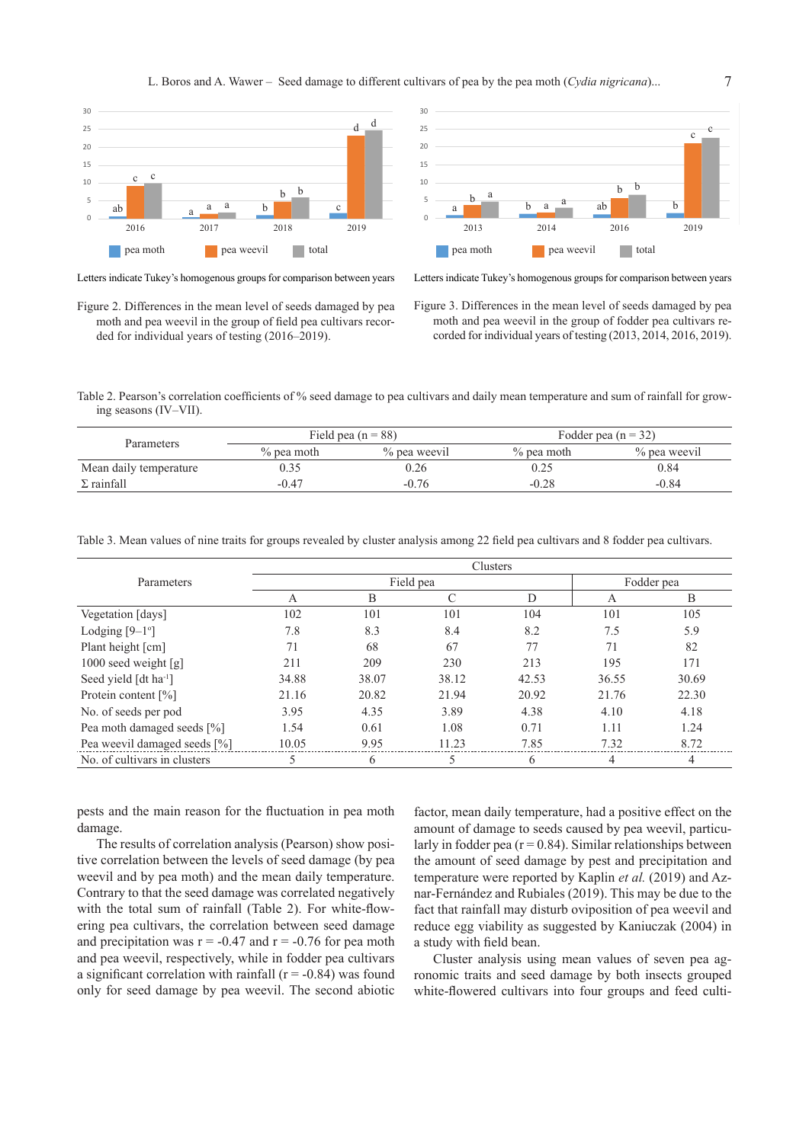L. Boros and A. Wawer – Seed damage to different cultivars of pea by the pea moth (*Cydia nigricana*)...



Letters indicate Tukey's homogenous groups for comparison between years Letters indicate Tukey's homogenous groups for comparison between years

Figure 2. Differences in the mean level of seeds damaged by pea moth and pea weevil in the group of field pea cultivars recorded for individual years of testing (2016–2019).



Figure 3. Differences in the mean level of seeds damaged by pea moth and pea weevil in the group of fodder pea cultivars recorded for individual years of testing (2013, 2014, 2016, 2019).

Table 2. Pearson's correlation coefficients of % seed damage to pea cultivars and daily mean temperature and sum of rainfall for growing seasons (IV–VII).

| <b>Parameters</b>      |               | Field pea $(n = 88)$ | Fodder pea $(n = 32)$ |              |  |
|------------------------|---------------|----------------------|-----------------------|--------------|--|
|                        | $\%$ pea moth | % pea weevil         | $\%$ pea moth         | % pea weevil |  |
| Mean daily temperature | 0.35          | 0.26                 | 0.25                  | 0.84         |  |
| $\Sigma$ rainfall      | $-0.47$       | $-0.76$              | $-0.28$               | $-0.84$      |  |

Table 3. Mean values of nine traits for groups revealed by cluster analysis among 22 field pea cultivars and 8 fodder pea cultivars.

|                                   | Clusters  |       |       |       |            |       |
|-----------------------------------|-----------|-------|-------|-------|------------|-------|
| Parameters                        | Field pea |       |       |       | Fodder pea |       |
|                                   | A         | B     |       | D     | A          | B     |
| Vegetation [days]                 | 102       | 101   | 101   | 104   | 101        | 105   |
| Lodging $[9-1^\circ]$             | 7.8       | 8.3   | 8.4   | 8.2   | 7.5        | 5.9   |
| Plant height [cm]                 | 71        | 68    | 67    | 77    | 71         | 82    |
| 1000 seed weight $[g]$            | 211       | 209   | 230   | 213   | 195        | 171   |
| Seed yield [dt ha <sup>-1</sup> ] | 34.88     | 38.07 | 38.12 | 42.53 | 36.55      | 30.69 |
| Protein content [%]               | 21.16     | 20.82 | 21.94 | 20.92 | 21.76      | 22.30 |
| No. of seeds per pod              | 3.95      | 4.35  | 3.89  | 4.38  | 4.10       | 4.18  |
| Pea moth damaged seeds [%]        | 1.54      | 0.61  | 1.08  | 0.71  | 1.11       | 1.24  |
| Pea weevil damaged seeds [%]      | 10.05     | 9.95  | 11.23 | 7.85  | 7.32       | 8.72  |
| No. of cultivars in clusters      | 5         | 6     |       | 6     | 4          | 4     |

pests and the main reason for the fluctuation in pea moth damage.

The results of correlation analysis (Pearson) show positive correlation between the levels of seed damage (by pea weevil and by pea moth) and the mean daily temperature. Contrary to that the seed damage was correlated negatively with the total sum of rainfall (Table 2). For white-flowering pea cultivars, the correlation between seed damage and precipitation was  $r = -0.47$  and  $r = -0.76$  for pea moth and pea weevil, respectively, while in fodder pea cultivars a significant correlation with rainfall  $(r = -0.84)$  was found only for seed damage by pea weevil. The second abiotic

factor, mean daily temperature, had a positive effect on the amount of damage to seeds caused by pea weevil, particularly in fodder pea ( $r = 0.84$ ). Similar relationships between the amount of seed damage by pest and precipitation and temperature were reported by Kaplin *et al.* (2019) and Aznar-Fernández and Rubiales (2019). This may be due to the fact that rainfall may disturb oviposition of pea weevil and reduce egg viability as suggested by Kaniuczak (2004) in a study with field bean.

Cluster analysis using mean values of seven pea agronomic traits and seed damage by both insects grouped white-flowered cultivars into four groups and feed culti-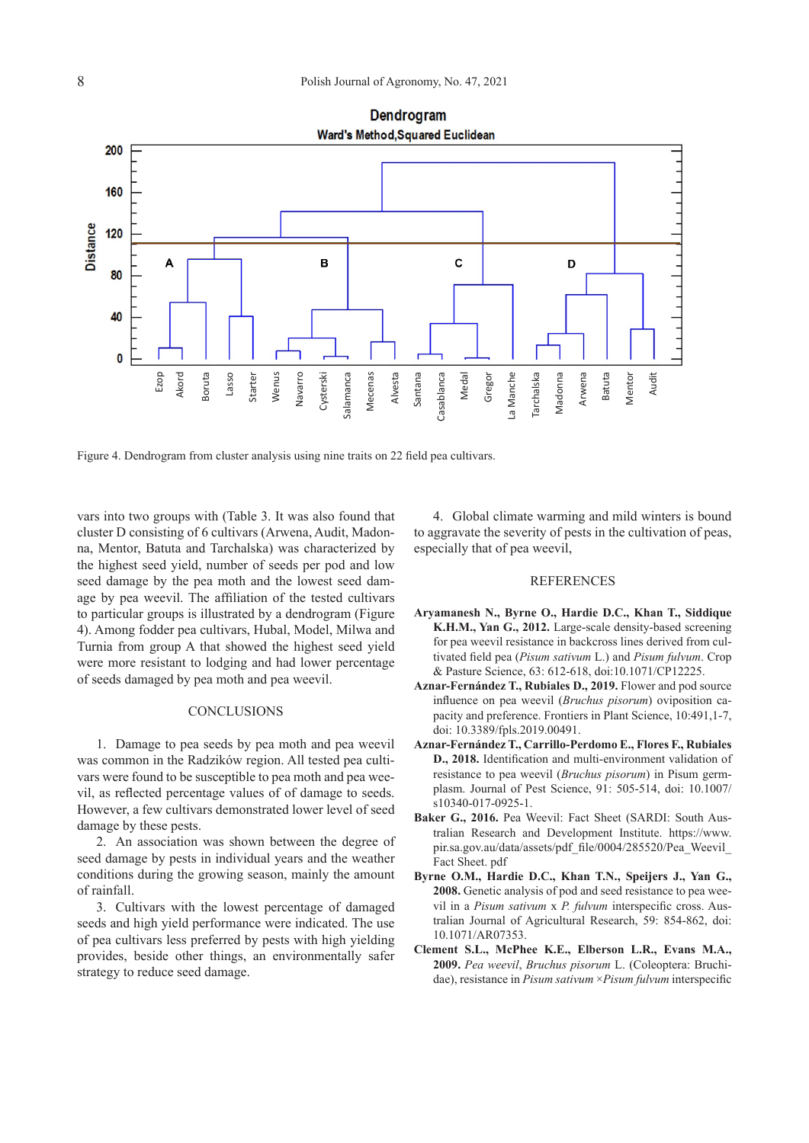

Figure 4. Dendrogram from cluster analysis using nine traits on 22 field pea cultivars.

vars into two groups with (Table 3. It was also found that cluster D consisting of 6 cultivars (Arwena, Audit, Madonna, Mentor, Batuta and Tarchalska) was characterized by the highest seed yield, number of seeds per pod and low seed damage by the pea moth and the lowest seed damage by pea weevil. The affiliation of the tested cultivars to particular groups is illustrated by a dendrogram (Figure 4). Among fodder pea cultivars, Hubal, Model, Milwa and Turnia from group A that showed the highest seed yield were more resistant to lodging and had lower percentage of seeds damaged by pea moth and pea weevil.

## **CONCLUSIONS**

1. Damage to pea seeds by pea moth and pea weevil was common in the Radzików region. All tested pea cultivars were found to be susceptible to pea moth and pea weevil, as reflected percentage values of of damage to seeds. However, a few cultivars demonstrated lower level of seed damage by these pests.

2. An association was shown between the degree of seed damage by pests in individual years and the weather conditions during the growing season, mainly the amount of rainfall.

3. Cultivars with the lowest percentage of damaged seeds and high yield performance were indicated. The use of pea cultivars less preferred by pests with high yielding provides, beside other things, an environmentally safer strategy to reduce seed damage.

4. Global climate warming and mild winters is bound to aggravate the severity of pests in the cultivation of peas, especially that of pea weevil,

#### REFERENCES

- **Aryamanesh N., Byrne O., Hardie D.C., Khan T., Siddique K.H.M., Yan G., 2012.** Large-scale density-based screening for pea weevil resistance in backcross lines derived from cultivated field pea (*Pisum sativum* L.) and *Pisum fulvum*. Crop & Pasture Science, 63: 612-618, doi:10.1071/CP12225.
- **Aznar-Fernández T., Rubiales D., 2019.** Flower and pod source influence on pea weevil (*Bruchus pisorum*) oviposition capacity and preference. Frontiers in Plant Science, 10:491,1-7, doi: 10.3389/fpls.2019.00491.
- **Aznar-Fernández T., Carrillo-Perdomo E., Flores F., Rubiales D., 2018.** Identification and multi-environment validation of resistance to pea weevil (*Bruchus pisorum*) in Pisum germplasm. Journal of Pest Science, 91: 505-514, doi: 10.1007/ s10340-017-0925-1.
- **Baker G., 2016.** Pea Weevil: Fact Sheet (SARDI: South Australian Research and Development Institute. https://www. pir.sa.gov.au/data/assets/pdf\_file/0004/285520/Pea\_Weevil\_ Fact Sheet. pdf
- **Byrne O.M., Hardie D.C., Khan T.N., Speijers J., Yan G., 2008.** Genetic analysis of pod and seed resistance to pea weevil in a *Pisum sativum* x *P. fulvum* interspecific cross. Australian Journal of Agricultural Research, 59: 854-862, doi: 10.1071/AR07353.
- **Clement S.L., McPhee K.E., Elberson L.R., Evans M.A., 2009.** *Pea weevil*, *Bruchus pisorum* L. (Coleoptera: Bruchidae), resistance in *Pisum sativum* ×*Pisum fulvum* interspecific